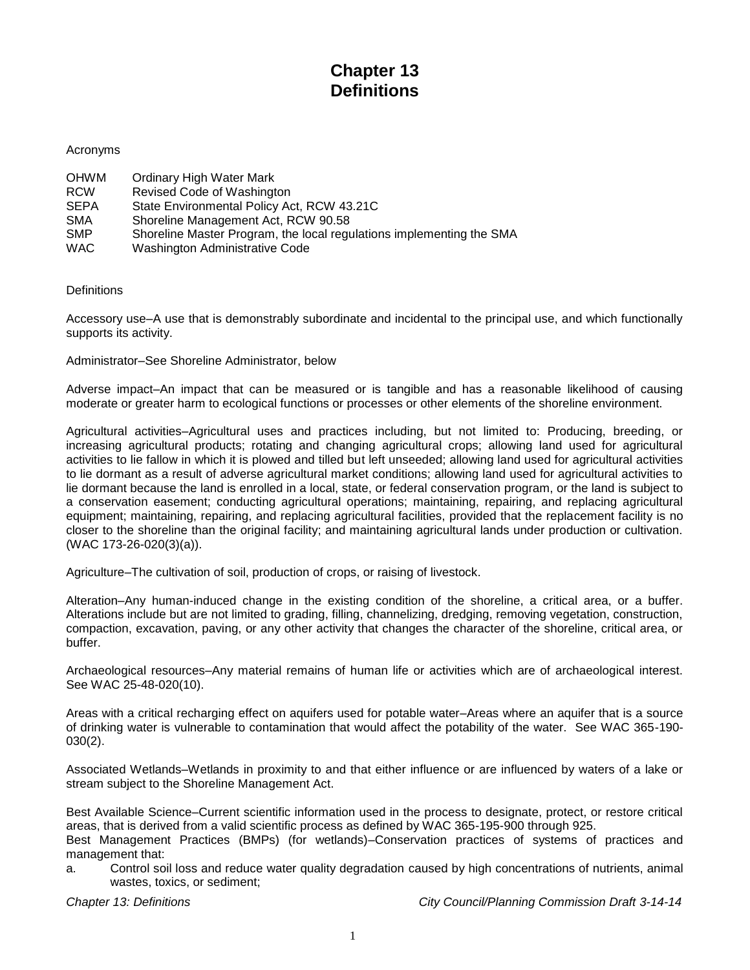## **Chapter 13 Definitions**

## Acronyms

| <b>OHWM</b> | Ordinary High Water Mark                                             |
|-------------|----------------------------------------------------------------------|
| <b>RCW</b>  | Revised Code of Washington                                           |
| <b>SEPA</b> | State Environmental Policy Act, RCW 43.21C                           |
| <b>SMA</b>  | Shoreline Management Act, RCW 90.58                                  |
| <b>SMP</b>  | Shoreline Master Program, the local regulations implementing the SMA |
| <b>WAC</b>  | Washington Administrative Code                                       |

**Definitions** 

Accessory use–A use that is demonstrably subordinate and incidental to the principal use, and which functionally supports its activity.

Administrator–See Shoreline Administrator, below

Adverse impact–An impact that can be measured or is tangible and has a reasonable likelihood of causing moderate or greater harm to ecological functions or processes or other elements of the shoreline environment.

Agricultural activities–Agricultural uses and practices including, but not limited to: Producing, breeding, or increasing agricultural products; rotating and changing agricultural crops; allowing land used for agricultural activities to lie fallow in which it is plowed and tilled but left unseeded; allowing land used for agricultural activities to lie dormant as a result of adverse agricultural market conditions; allowing land used for agricultural activities to lie dormant because the land is enrolled in a local, state, or federal conservation program, or the land is subject to a conservation easement; conducting agricultural operations; maintaining, repairing, and replacing agricultural equipment; maintaining, repairing, and replacing agricultural facilities, provided that the replacement facility is no closer to the shoreline than the original facility; and maintaining agricultural lands under production or cultivation. (WAC 173-26-020(3)(a)).

Agriculture–The cultivation of soil, production of crops, or raising of livestock.

Alteration–Any human-induced change in the existing condition of the shoreline, a critical area, or a buffer. Alterations include but are not limited to grading, filling, channelizing, dredging, removing vegetation, construction, compaction, excavation, paving, or any other activity that changes the character of the shoreline, critical area, or buffer.

Archaeological resources–Any material remains of human life or activities which are of archaeological interest. See WAC 25-48-020(10).

Areas with a critical recharging effect on aquifers used for potable water–Areas where an aquifer that is a source of drinking water is vulnerable to contamination that would affect the potability of the water. See WAC 365-190- 030(2).

Associated Wetlands–Wetlands in proximity to and that either influence or are influenced by waters of a lake or stream subject to the Shoreline Management Act.

Best Available Science–Current scientific information used in the process to designate, protect, or restore critical areas, that is derived from a valid scientific process as defined by WAC 365-195-900 through 925. Best Management Practices (BMPs) (for wetlands)–Conservation practices of systems of practices and management that:

a. Control soil loss and reduce water quality degradation caused by high concentrations of nutrients, animal wastes, toxics, or sediment;

*Chapter 13: Definitions City Council/Planning Commission Draft 3-14-14*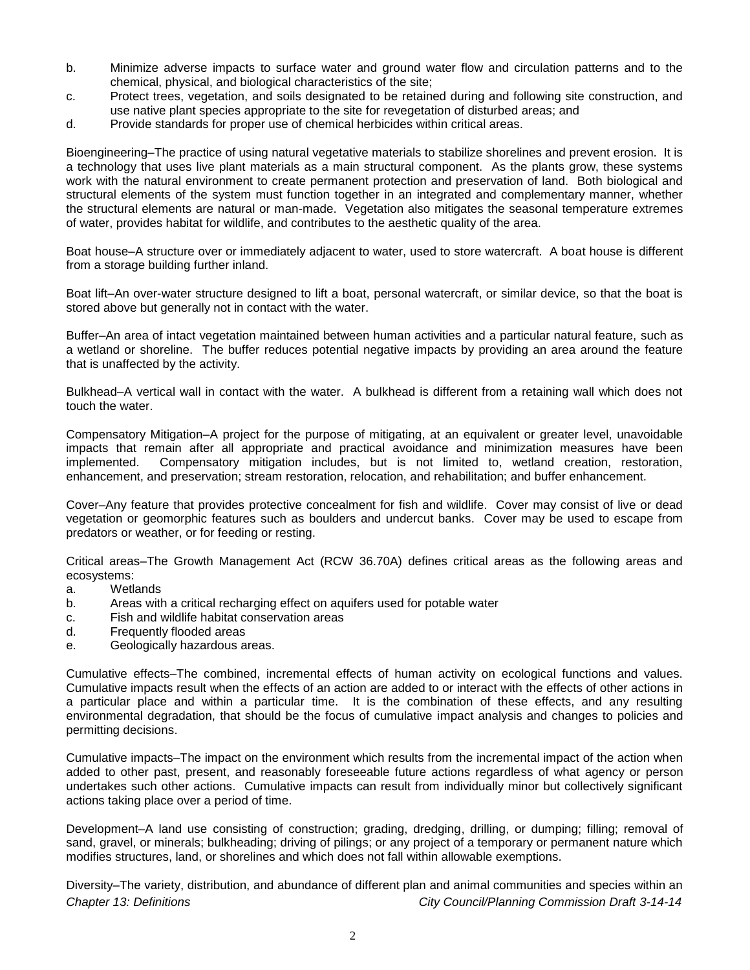- b. Minimize adverse impacts to surface water and ground water flow and circulation patterns and to the chemical, physical, and biological characteristics of the site;
- c. Protect trees, vegetation, and soils designated to be retained during and following site construction, and use native plant species appropriate to the site for revegetation of disturbed areas; and
- d. Provide standards for proper use of chemical herbicides within critical areas.

Bioengineering–The practice of using natural vegetative materials to stabilize shorelines and prevent erosion. It is a technology that uses live plant materials as a main structural component. As the plants grow, these systems work with the natural environment to create permanent protection and preservation of land. Both biological and structural elements of the system must function together in an integrated and complementary manner, whether the structural elements are natural or man-made. Vegetation also mitigates the seasonal temperature extremes of water, provides habitat for wildlife, and contributes to the aesthetic quality of the area.

Boat house–A structure over or immediately adjacent to water, used to store watercraft. A boat house is different from a storage building further inland.

Boat lift–An over-water structure designed to lift a boat, personal watercraft, or similar device, so that the boat is stored above but generally not in contact with the water.

Buffer–An area of intact vegetation maintained between human activities and a particular natural feature, such as a wetland or shoreline. The buffer reduces potential negative impacts by providing an area around the feature that is unaffected by the activity.

Bulkhead–A vertical wall in contact with the water. A bulkhead is different from a retaining wall which does not touch the water.

Compensatory Mitigation–A project for the purpose of mitigating, at an equivalent or greater level, unavoidable impacts that remain after all appropriate and practical avoidance and minimization measures have been implemented. Compensatory mitigation includes, but is not limited to, wetland creation, restoration, enhancement, and preservation; stream restoration, relocation, and rehabilitation; and buffer enhancement.

Cover–Any feature that provides protective concealment for fish and wildlife. Cover may consist of live or dead vegetation or geomorphic features such as boulders and undercut banks. Cover may be used to escape from predators or weather, or for feeding or resting.

Critical areas–The Growth Management Act (RCW 36.70A) defines critical areas as the following areas and ecosystems:

- a. Wetlands
- b. Areas with a critical recharging effect on aquifers used for potable water
- c. Fish and wildlife habitat conservation areas
- d. Frequently flooded areas
- e. Geologically hazardous areas.

Cumulative effects–The combined, incremental effects of human activity on ecological functions and values. Cumulative impacts result when the effects of an action are added to or interact with the effects of other actions in a particular place and within a particular time. It is the combination of these effects, and any resulting environmental degradation, that should be the focus of cumulative impact analysis and changes to policies and permitting decisions.

Cumulative impacts–The impact on the environment which results from the incremental impact of the action when added to other past, present, and reasonably foreseeable future actions regardless of what agency or person undertakes such other actions. Cumulative impacts can result from individually minor but collectively significant actions taking place over a period of time.

Development–A land use consisting of construction; grading, dredging, drilling, or dumping; filling; removal of sand, gravel, or minerals; bulkheading; driving of pilings; or any project of a temporary or permanent nature which modifies structures, land, or shorelines and which does not fall within allowable exemptions.

*Chapter 13: Definitions City Council/Planning Commission Draft 3-14-14* Diversity–The variety, distribution, and abundance of different plan and animal communities and species within an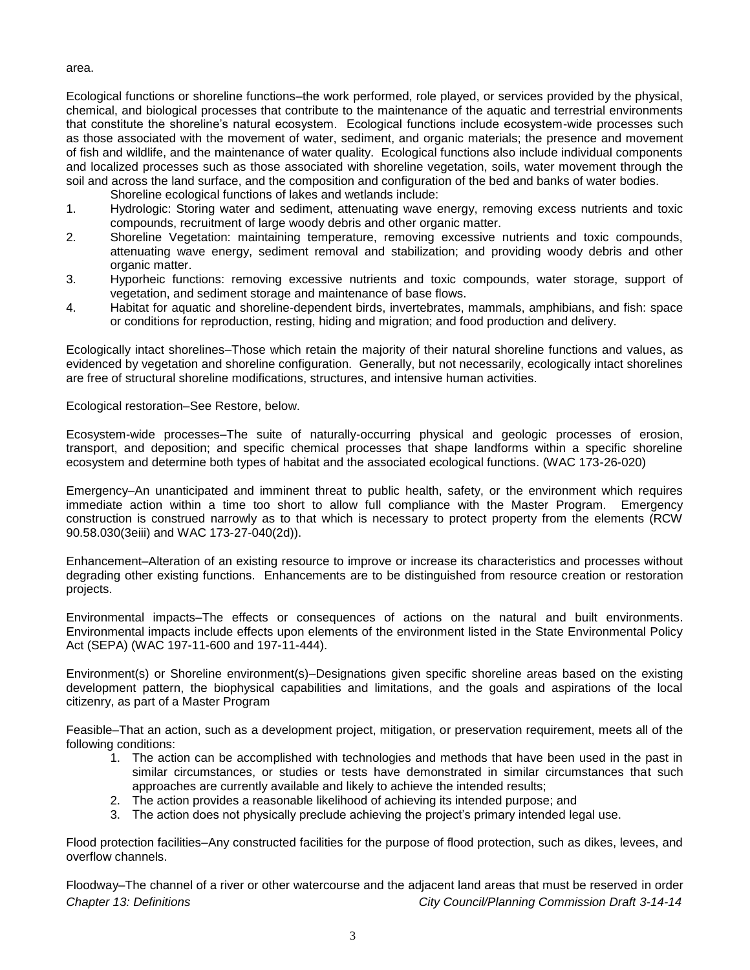area.

Ecological functions or shoreline functions–the work performed, role played, or services provided by the physical, chemical, and biological processes that contribute to the maintenance of the aquatic and terrestrial environments that constitute the shoreline's natural ecosystem. Ecological functions include ecosystem-wide processes such as those associated with the movement of water, sediment, and organic materials; the presence and movement of fish and wildlife, and the maintenance of water quality. Ecological functions also include individual components and localized processes such as those associated with shoreline vegetation, soils, water movement through the soil and across the land surface, and the composition and configuration of the bed and banks of water bodies.

Shoreline ecological functions of lakes and wetlands include:

- 1. Hydrologic: Storing water and sediment, attenuating wave energy, removing excess nutrients and toxic compounds, recruitment of large woody debris and other organic matter.
- 2. Shoreline Vegetation: maintaining temperature, removing excessive nutrients and toxic compounds, attenuating wave energy, sediment removal and stabilization; and providing woody debris and other organic matter.
- 3. Hyporheic functions: removing excessive nutrients and toxic compounds, water storage, support of vegetation, and sediment storage and maintenance of base flows.
- 4. Habitat for aquatic and shoreline-dependent birds, invertebrates, mammals, amphibians, and fish: space or conditions for reproduction, resting, hiding and migration; and food production and delivery.

Ecologically intact shorelines–Those which retain the majority of their natural shoreline functions and values, as evidenced by vegetation and shoreline configuration. Generally, but not necessarily, ecologically intact shorelines are free of structural shoreline modifications, structures, and intensive human activities.

Ecological restoration–See Restore, below.

Ecosystem-wide processes–The suite of naturally-occurring physical and geologic processes of erosion, transport, and deposition; and specific chemical processes that shape landforms within a specific shoreline ecosystem and determine both types of habitat and the associated ecological functions. (WAC 173-26-020)

Emergency–An unanticipated and imminent threat to public health, safety, or the environment which requires immediate action within a time too short to allow full compliance with the Master Program. Emergency construction is construed narrowly as to that which is necessary to protect property from the elements (RCW 90.58.030(3eiii) and WAC 173-27-040(2d)).

Enhancement–Alteration of an existing resource to improve or increase its characteristics and processes without degrading other existing functions. Enhancements are to be distinguished from resource creation or restoration projects.

Environmental impacts–The effects or consequences of actions on the natural and built environments. Environmental impacts include effects upon elements of the environment listed in the State Environmental Policy Act (SEPA) (WAC 197-11-600 and 197-11-444).

Environment(s) or Shoreline environment(s)–Designations given specific shoreline areas based on the existing development pattern, the biophysical capabilities and limitations, and the goals and aspirations of the local citizenry, as part of a Master Program

Feasible–That an action, such as a development project, mitigation, or preservation requirement, meets all of the following conditions:

- 1. The action can be accomplished with technologies and methods that have been used in the past in similar circumstances, or studies or tests have demonstrated in similar circumstances that such approaches are currently available and likely to achieve the intended results;
- 2. The action provides a reasonable likelihood of achieving its intended purpose; and
- 3. The action does not physically preclude achieving the project's primary intended legal use.

Flood protection facilities–Any constructed facilities for the purpose of flood protection, such as dikes, levees, and overflow channels.

*Chapter 13: Definitions City Council/Planning Commission Draft 3-14-14* Floodway–The channel of a river or other watercourse and the adjacent land areas that must be reserved in order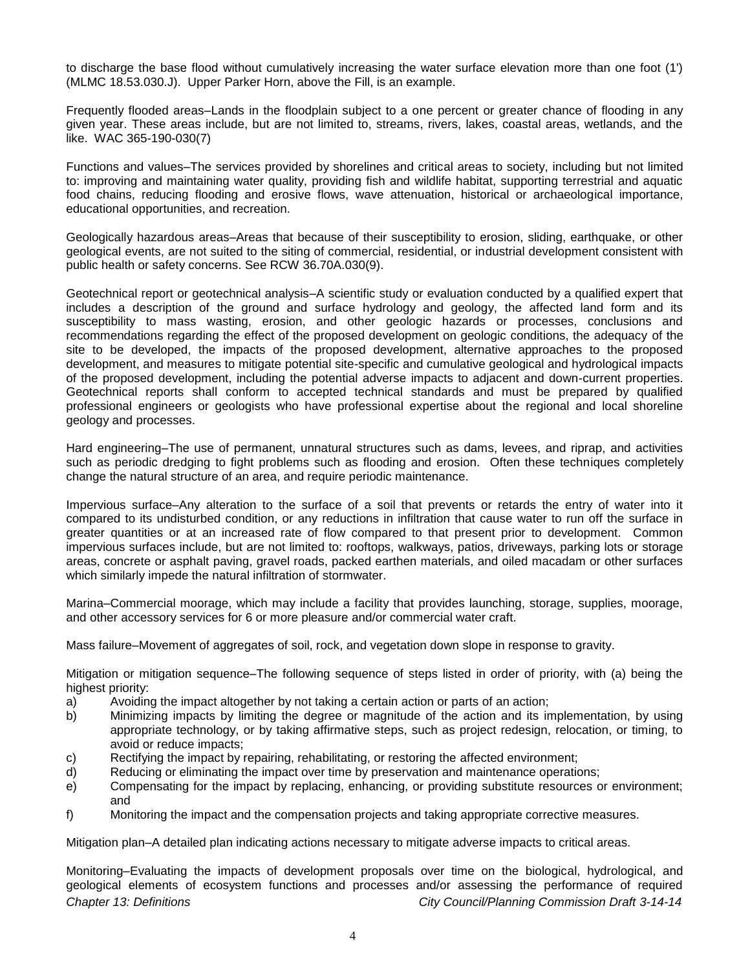to discharge the base flood without cumulatively increasing the water surface elevation more than one foot (1') (MLMC 18.53.030.J). Upper Parker Horn, above the Fill, is an example.

Frequently flooded areas–Lands in the floodplain subject to a one percent or greater chance of flooding in any given year. These areas include, but are not limited to, streams, rivers, lakes, coastal areas, wetlands, and the like. WAC 365-190-030(7)

Functions and values–The services provided by shorelines and critical areas to society, including but not limited to: improving and maintaining water quality, providing fish and wildlife habitat, supporting terrestrial and aquatic food chains, reducing flooding and erosive flows, wave attenuation, historical or archaeological importance, educational opportunities, and recreation.

Geologically hazardous areas–Areas that because of their susceptibility to erosion, sliding, earthquake, or other geological events, are not suited to the siting of commercial, residential, or industrial development consistent with public health or safety concerns. See RCW 36.70A.030(9).

Geotechnical report or geotechnical analysis–A scientific study or evaluation conducted by a qualified expert that includes a description of the ground and surface hydrology and geology, the affected land form and its susceptibility to mass wasting, erosion, and other geologic hazards or processes, conclusions and recommendations regarding the effect of the proposed development on geologic conditions, the adequacy of the site to be developed, the impacts of the proposed development, alternative approaches to the proposed development, and measures to mitigate potential site-specific and cumulative geological and hydrological impacts of the proposed development, including the potential adverse impacts to adjacent and down-current properties. Geotechnical reports shall conform to accepted technical standards and must be prepared by qualified professional engineers or geologists who have professional expertise about the regional and local shoreline geology and processes.

Hard engineering–The use of permanent, unnatural structures such as dams, levees, and riprap, and activities such as periodic dredging to fight problems such as flooding and erosion. Often these techniques completely change the natural structure of an area, and require periodic maintenance.

Impervious surface–Any alteration to the surface of a soil that prevents or retards the entry of water into it compared to its undisturbed condition, or any reductions in infiltration that cause water to run off the surface in greater quantities or at an increased rate of flow compared to that present prior to development. Common impervious surfaces include, but are not limited to: rooftops, walkways, patios, driveways, parking lots or storage areas, concrete or asphalt paving, gravel roads, packed earthen materials, and oiled macadam or other surfaces which similarly impede the natural infiltration of stormwater.

Marina–Commercial moorage, which may include a facility that provides launching, storage, supplies, moorage, and other accessory services for 6 or more pleasure and/or commercial water craft.

Mass failure–Movement of aggregates of soil, rock, and vegetation down slope in response to gravity.

Mitigation or mitigation sequence–The following sequence of steps listed in order of priority, with (a) being the highest priority:

- a) Avoiding the impact altogether by not taking a certain action or parts of an action;
- b) Minimizing impacts by limiting the degree or magnitude of the action and its implementation, by using appropriate technology, or by taking affirmative steps, such as project redesign, relocation, or timing, to avoid or reduce impacts;
- c) Rectifying the impact by repairing, rehabilitating, or restoring the affected environment;
- d) Reducing or eliminating the impact over time by preservation and maintenance operations;
- e) Compensating for the impact by replacing, enhancing, or providing substitute resources or environment; and
- f) Monitoring the impact and the compensation projects and taking appropriate corrective measures.

Mitigation plan–A detailed plan indicating actions necessary to mitigate adverse impacts to critical areas.

*Chapter 13: Definitions City Council/Planning Commission Draft 3-14-14* Monitoring–Evaluating the impacts of development proposals over time on the biological, hydrological, and geological elements of ecosystem functions and processes and/or assessing the performance of required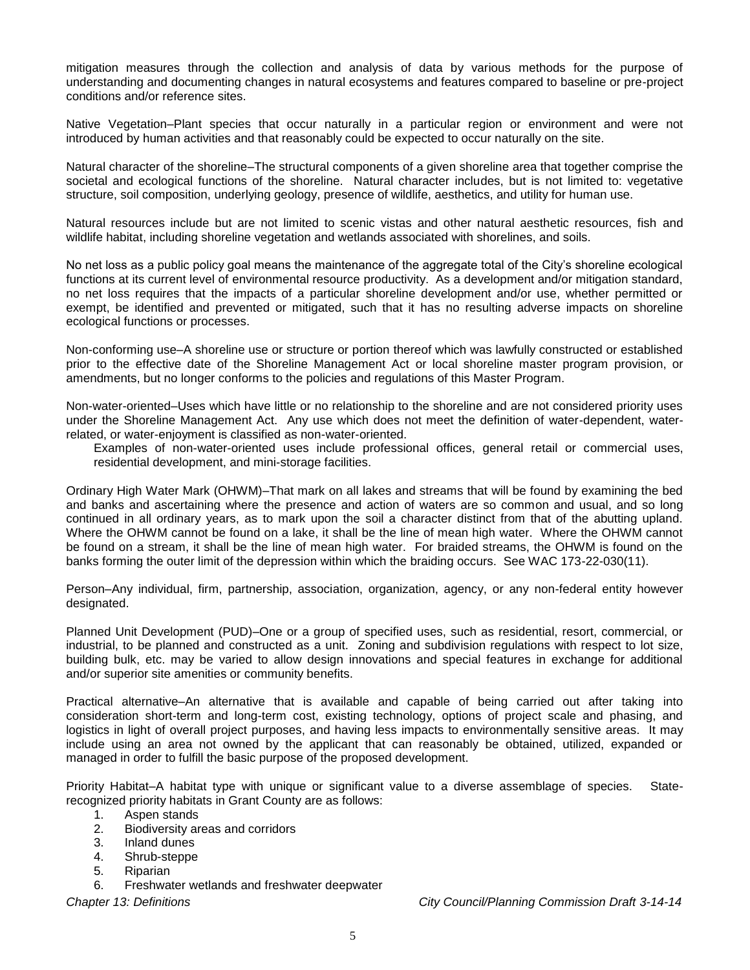mitigation measures through the collection and analysis of data by various methods for the purpose of understanding and documenting changes in natural ecosystems and features compared to baseline or pre-project conditions and/or reference sites.

Native Vegetation–Plant species that occur naturally in a particular region or environment and were not introduced by human activities and that reasonably could be expected to occur naturally on the site.

Natural character of the shoreline–The structural components of a given shoreline area that together comprise the societal and ecological functions of the shoreline. Natural character includes, but is not limited to: vegetative structure, soil composition, underlying geology, presence of wildlife, aesthetics, and utility for human use.

Natural resources include but are not limited to scenic vistas and other natural aesthetic resources, fish and wildlife habitat, including shoreline vegetation and wetlands associated with shorelines, and soils.

No net loss as a public policy goal means the maintenance of the aggregate total of the City's shoreline ecological functions at its current level of environmental resource productivity. As a development and/or mitigation standard, no net loss requires that the impacts of a particular shoreline development and/or use, whether permitted or exempt, be identified and prevented or mitigated, such that it has no resulting adverse impacts on shoreline ecological functions or processes.

Non-conforming use–A shoreline use or structure or portion thereof which was lawfully constructed or established prior to the effective date of the Shoreline Management Act or local shoreline master program provision, or amendments, but no longer conforms to the policies and regulations of this Master Program.

Non-water-oriented–Uses which have little or no relationship to the shoreline and are not considered priority uses under the Shoreline Management Act. Any use which does not meet the definition of water-dependent, waterrelated, or water-enjoyment is classified as non-water-oriented.

Examples of non-water-oriented uses include professional offices, general retail or commercial uses, residential development, and mini-storage facilities.

Ordinary High Water Mark (OHWM)–That mark on all lakes and streams that will be found by examining the bed and banks and ascertaining where the presence and action of waters are so common and usual, and so long continued in all ordinary years, as to mark upon the soil a character distinct from that of the abutting upland. Where the OHWM cannot be found on a lake, it shall be the line of mean high water. Where the OHWM cannot be found on a stream, it shall be the line of mean high water. For braided streams, the OHWM is found on the banks forming the outer limit of the depression within which the braiding occurs. See WAC 173-22-030(11).

Person–Any individual, firm, partnership, association, organization, agency, or any non-federal entity however designated.

Planned Unit Development (PUD)–One or a group of specified uses, such as residential, resort, commercial, or industrial, to be planned and constructed as a unit. Zoning and subdivision regulations with respect to lot size, building bulk, etc. may be varied to allow design innovations and special features in exchange for additional and/or superior site amenities or community benefits.

Practical alternative–An alternative that is available and capable of being carried out after taking into consideration short-term and long-term cost, existing technology, options of project scale and phasing, and logistics in light of overall project purposes, and having less impacts to environmentally sensitive areas. It may include using an area not owned by the applicant that can reasonably be obtained, utilized, expanded or managed in order to fulfill the basic purpose of the proposed development.

Priority Habitat–A habitat type with unique or significant value to a diverse assemblage of species. Staterecognized priority habitats in Grant County are as follows:

- 1. Aspen stands
- 2. Biodiversity areas and corridors
- 3. Inland dunes
- 4. Shrub-steppe
- 5. Riparian
- 6. Freshwater wetlands and freshwater deepwater

*Chapter 13: Definitions City Council/Planning Commission Draft 3-14-14*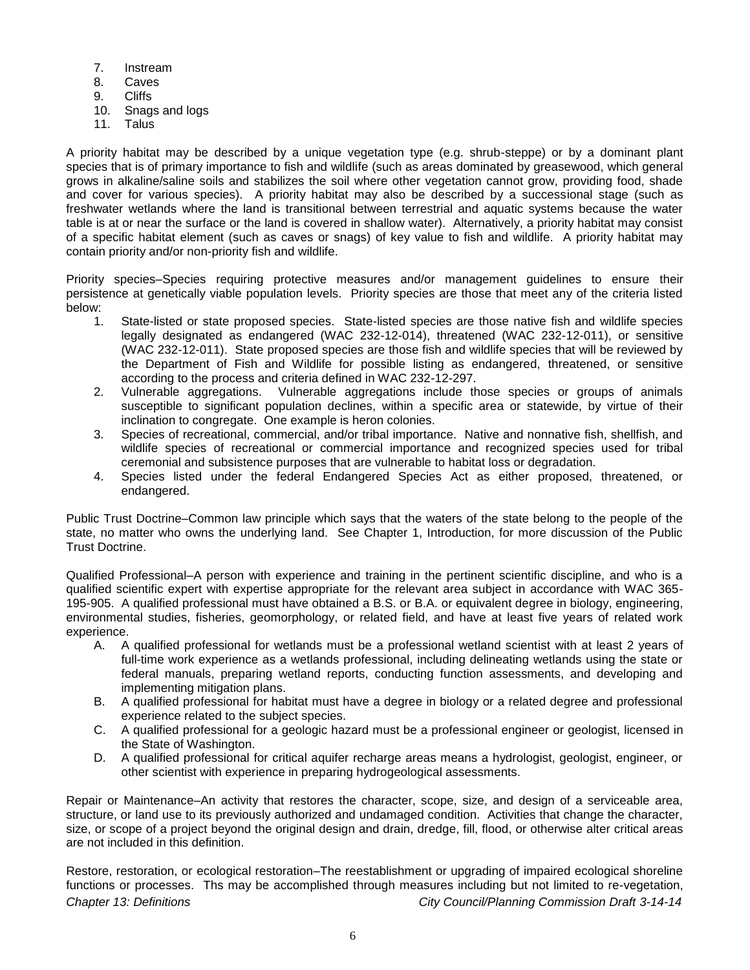- 7. Instream
- 8. Caves
- 9. Cliffs
- 10. Snags and logs
- 11. Talus

A priority habitat may be described by a unique vegetation type (e.g. shrub-steppe) or by a dominant plant species that is of primary importance to fish and wildlife (such as areas dominated by greasewood, which general grows in alkaline/saline soils and stabilizes the soil where other vegetation cannot grow, providing food, shade and cover for various species). A priority habitat may also be described by a successional stage (such as freshwater wetlands where the land is transitional between terrestrial and aquatic systems because the water table is at or near the surface or the land is covered in shallow water). Alternatively, a priority habitat may consist of a specific habitat element (such as caves or snags) of key value to fish and wildlife. A priority habitat may contain priority and/or non-priority fish and wildlife.

Priority species–Species requiring protective measures and/or management guidelines to ensure their persistence at genetically viable population levels. Priority species are those that meet any of the criteria listed below:

- 1. State-listed or state proposed species. State-listed species are those native fish and wildlife species legally designated as endangered (WAC 232-12-014), threatened (WAC 232-12-011), or sensitive (WAC 232-12-011). State proposed species are those fish and wildlife species that will be reviewed by the Department of Fish and Wildlife for possible listing as endangered, threatened, or sensitive according to the process and criteria defined in WAC 232-12-297.
- 2. Vulnerable aggregations. Vulnerable aggregations include those species or groups of animals susceptible to significant population declines, within a specific area or statewide, by virtue of their inclination to congregate. One example is heron colonies.
- 3. Species of recreational, commercial, and/or tribal importance. Native and nonnative fish, shellfish, and wildlife species of recreational or commercial importance and recognized species used for tribal ceremonial and subsistence purposes that are vulnerable to habitat loss or degradation.
- 4. Species listed under the federal Endangered Species Act as either proposed, threatened, or endangered.

Public Trust Doctrine–Common law principle which says that the waters of the state belong to the people of the state, no matter who owns the underlying land. See Chapter 1, Introduction, for more discussion of the Public Trust Doctrine.

Qualified Professional–A person with experience and training in the pertinent scientific discipline, and who is a qualified scientific expert with expertise appropriate for the relevant area subject in accordance with WAC 365- 195-905. A qualified professional must have obtained a B.S. or B.A. or equivalent degree in biology, engineering, environmental studies, fisheries, geomorphology, or related field, and have at least five years of related work experience.

- A. A qualified professional for wetlands must be a professional wetland scientist with at least 2 years of full-time work experience as a wetlands professional, including delineating wetlands using the state or federal manuals, preparing wetland reports, conducting function assessments, and developing and implementing mitigation plans.
- B. A qualified professional for habitat must have a degree in biology or a related degree and professional experience related to the subject species.
- C. A qualified professional for a geologic hazard must be a professional engineer or geologist, licensed in the State of Washington.
- D. A qualified professional for critical aquifer recharge areas means a hydrologist, geologist, engineer, or other scientist with experience in preparing hydrogeological assessments.

Repair or Maintenance–An activity that restores the character, scope, size, and design of a serviceable area, structure, or land use to its previously authorized and undamaged condition. Activities that change the character, size, or scope of a project beyond the original design and drain, dredge, fill, flood, or otherwise alter critical areas are not included in this definition.

*Chapter 13: Definitions City Council/Planning Commission Draft 3-14-14* Restore, restoration, or ecological restoration–The reestablishment or upgrading of impaired ecological shoreline functions or processes. Ths may be accomplished through measures including but not limited to re-vegetation,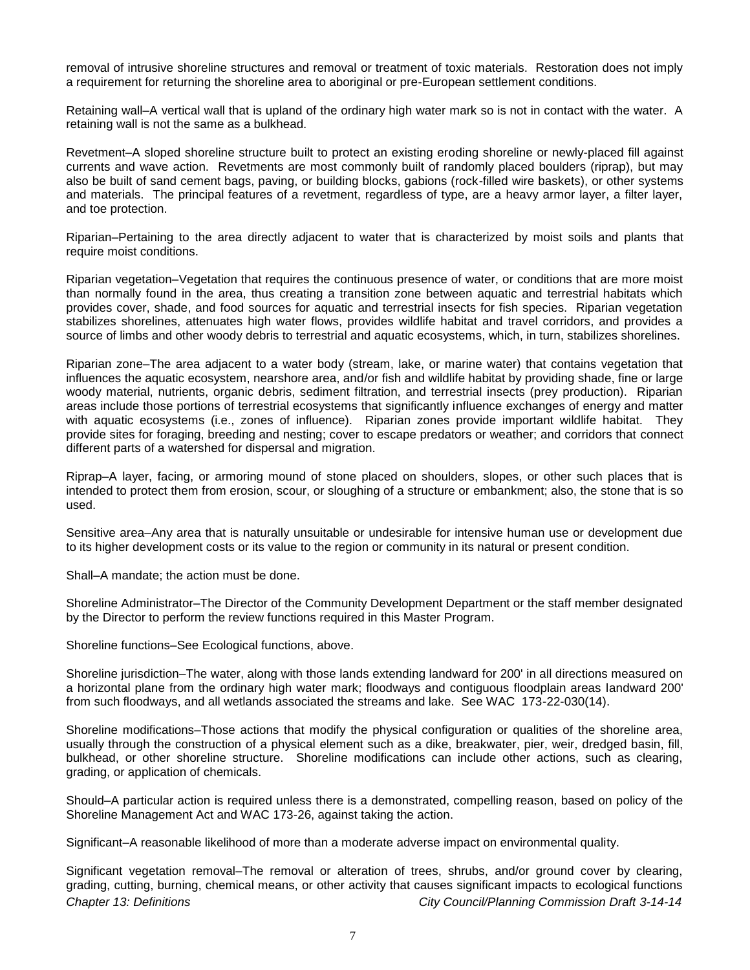removal of intrusive shoreline structures and removal or treatment of toxic materials. Restoration does not imply a requirement for returning the shoreline area to aboriginal or pre-European settlement conditions.

Retaining wall–A vertical wall that is upland of the ordinary high water mark so is not in contact with the water. A retaining wall is not the same as a bulkhead.

Revetment–A sloped shoreline structure built to protect an existing eroding shoreline or newly-placed fill against currents and wave action. Revetments are most commonly built of randomly placed boulders (riprap), but may also be built of sand cement bags, paving, or building blocks, gabions (rock-filled wire baskets), or other systems and materials. The principal features of a revetment, regardless of type, are a heavy armor layer, a filter layer, and toe protection.

Riparian–Pertaining to the area directly adjacent to water that is characterized by moist soils and plants that require moist conditions.

Riparian vegetation–Vegetation that requires the continuous presence of water, or conditions that are more moist than normally found in the area, thus creating a transition zone between aquatic and terrestrial habitats which provides cover, shade, and food sources for aquatic and terrestrial insects for fish species. Riparian vegetation stabilizes shorelines, attenuates high water flows, provides wildlife habitat and travel corridors, and provides a source of limbs and other woody debris to terrestrial and aquatic ecosystems, which, in turn, stabilizes shorelines.

Riparian zone–The area adjacent to a water body (stream, lake, or marine water) that contains vegetation that influences the aquatic ecosystem, nearshore area, and/or fish and wildlife habitat by providing shade, fine or large woody material, nutrients, organic debris, sediment filtration, and terrestrial insects (prey production). Riparian areas include those portions of terrestrial ecosystems that significantly influence exchanges of energy and matter with aquatic ecosystems (i.e., zones of influence). Riparian zones provide important wildlife habitat. Thev provide sites for foraging, breeding and nesting; cover to escape predators or weather; and corridors that connect different parts of a watershed for dispersal and migration.

Riprap–A layer, facing, or armoring mound of stone placed on shoulders, slopes, or other such places that is intended to protect them from erosion, scour, or sloughing of a structure or embankment; also, the stone that is so used.

Sensitive area–Any area that is naturally unsuitable or undesirable for intensive human use or development due to its higher development costs or its value to the region or community in its natural or present condition.

Shall–A mandate; the action must be done.

Shoreline Administrator–The Director of the Community Development Department or the staff member designated by the Director to perform the review functions required in this Master Program.

Shoreline functions–See Ecological functions, above.

Shoreline jurisdiction–The water, along with those lands extending landward for 200' in all directions measured on a horizontal plane from the ordinary high water mark; floodways and contiguous floodplain areas landward 200' from such floodways, and all wetlands associated the streams and lake. See WAC 173-22-030(14).

Shoreline modifications–Those actions that modify the physical configuration or qualities of the shoreline area, usually through the construction of a physical element such as a dike, breakwater, pier, weir, dredged basin, fill, bulkhead, or other shoreline structure. Shoreline modifications can include other actions, such as clearing, grading, or application of chemicals.

Should–A particular action is required unless there is a demonstrated, compelling reason, based on policy of the Shoreline Management Act and WAC 173-26, against taking the action.

Significant–A reasonable likelihood of more than a moderate adverse impact on environmental quality.

*Chapter 13: Definitions City Council/Planning Commission Draft 3-14-14* Significant vegetation removal–The removal or alteration of trees, shrubs, and/or ground cover by clearing, grading, cutting, burning, chemical means, or other activity that causes significant impacts to ecological functions